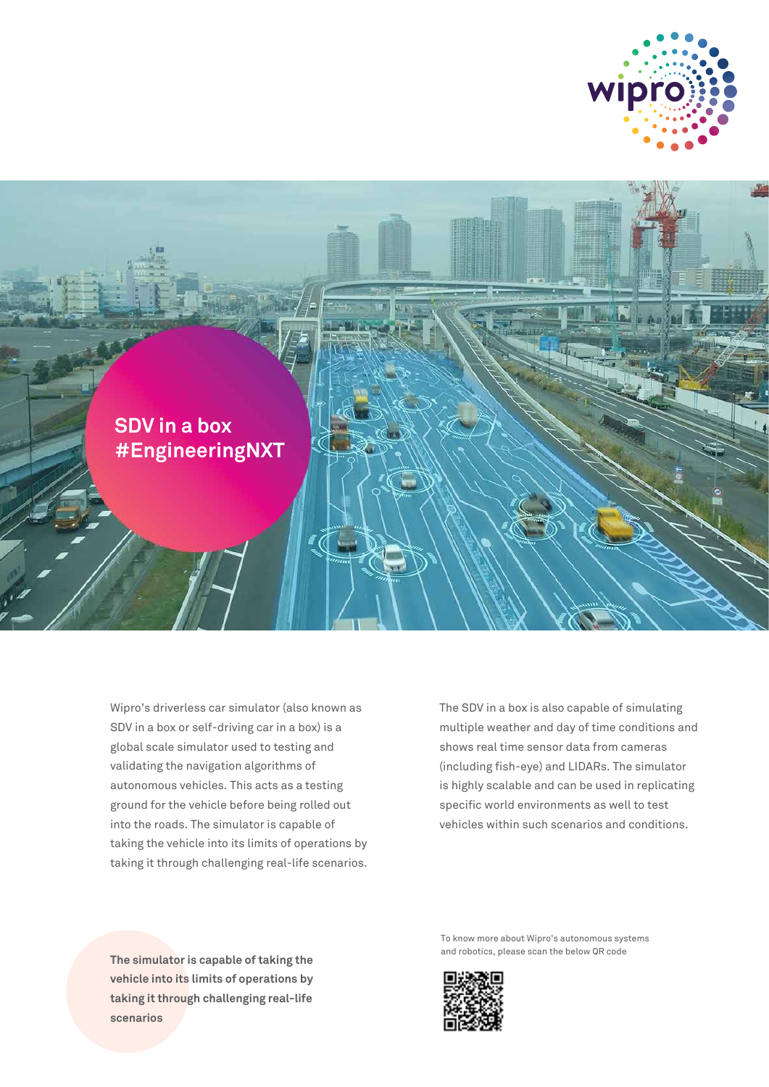



Wipro's driverless car simulator (also known as SDV in a box or self-driving car in a box) is a global scale simulator used to testing and validating the navigation algorithms of autonomous vehicles. This acts as a testing ground for the vehicle before being rolled out into the roads. The simulator is capable of taking the vehicle into its limits of operations by taking it through challenging real-life scenarios.

The SDV in a box is also capable of simulating multiple weather and day of time conditions and shows real time sensor data from cameras (including fish-eye) and LIDARs. The simulator is highly scalable and can be used in replicating specific world environments as well to test vehicles within such scenarios and conditions.

**The simulator is capable of taking the vehicle into its limits of operations by taking it through challenging real-life scenarios**

To know more about Wipro's autonomous systems and robotics, please scan the below QR code